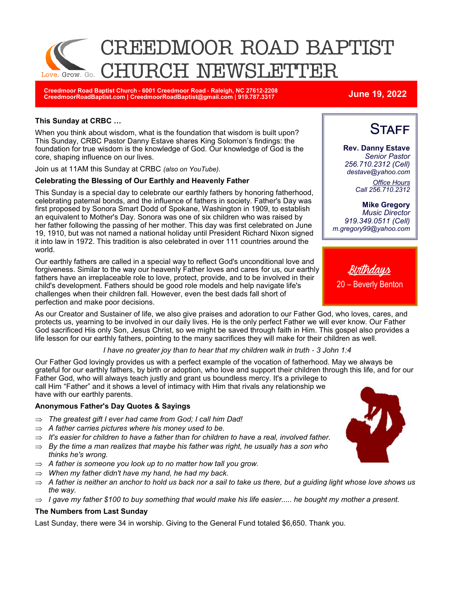

**Creedmoor Road Baptist Church - 6001 Creedmoor Road - Raleigh, NC 27612-2208 CreedmoorRoadBaptist.com | CreedmoorRoadBaptist@gmail.com | 919.787.3317 June 19, 2022**

**Rev. Danny Estave** *Senior Pastor 256.710.2312 (Cell) destave@yahoo.com*

**STAFF** 

*Office Hours Call 256.710.2312* 

**Mike Gregory** *Music Director 919.349.0511 (Cell) m.gregory99@yahoo.com* 

#### **This Sunday at CRBC …**

When you think about wisdom, what is the foundation that wisdom is built upon? This Sunday, CRBC Pastor Danny Estave shares King Solomon's findings: the foundation for true wisdom is the knowledge of God. Our knowledge of God is the core, shaping influence on our lives.

Join us at 11AM this Sunday at CRBC *(also on YouTube)*.

#### **Celebrating the Blessing of Our Earthly and Heavenly Father**

This Sunday is a special day to celebrate our earthly fathers by honoring fatherhood, celebrating paternal bonds, and the influence of fathers in society. Father's Day was first proposed by Sonora Smart Dodd of Spokane, Washington in 1909, to establish an equivalent to Mother's Day. Sonora was one of six children who was raised by her father following the passing of her mother. This day was first celebrated on June 19, 1910, but was not named a national holiday until President Richard Nixon signed it into law in 1972. This tradition is also celebrated in over 111 countries around the world.

Our earthly fathers are called in a special way to reflect God's unconditional love and forgiveness. Similar to the way our heavenly Father loves and cares for us, our earthly fathers have an irreplaceable role to love, protect, provide, and to be involved in their child's development. Fathers should be good role models and help navigate life's challenges when their children fall. However, even the best dads fall short of perfection and make poor decisions.

As our Creator and Sustainer of life, we also give praises and adoration to our Father God, who loves, cares, and protects us, yearning to be involved in our daily lives. He is the only perfect Father we will ever know. Our Father God sacrificed His only Son, Jesus Christ, so we might be saved through faith in Him. This gospel also provides a life lesson for our earthly fathers, pointing to the many sacrifices they will make for their children as well.

#### *I have no greater joy than to hear that my children walk in truth - 3 John 1:4*

Our Father God lovingly provides us with a perfect example of the vocation of fatherhood. May we always be grateful for our earthly fathers, by birth or adoption, who love and support their children through this life, and for our Father God, who will always teach justly and grant us boundless mercy. It's a privilege to call Him "Father" and it shows a level of intimacy with Him that rivals any relationship we have with our earthly parents.

#### **Anonymous Father's Day Quotes & Sayings**

- *The greatest gift I ever had came from God; I call him Dad!*
- $\Rightarrow$  A father carries pictures where his money used to be.
- *It's easier for children to have a father than for children to have a real, involved father.*
- $\Rightarrow$  By the time a man realizes that maybe his father was right, he usually has a son who *thinks he's wrong.*
- *A father is someone you look up to no matter how tall you grow.*
- *When my father didn't have my hand, he had my back.*
- $\Rightarrow$  A father is neither an anchor to hold us back nor a sail to take us there, but a quiding light whose love shows us *the way.*
- $\Rightarrow$  *I gave my father \$100 to buy something that would make his life easier..... he bought my mother a present.*

### **The Numbers from Last Sunday**

Last Sunday, there were 34 in worship. Giving to the General Fund totaled \$6,650. Thank you.



<u>Birthdays</u> 20 – Beverly Benton